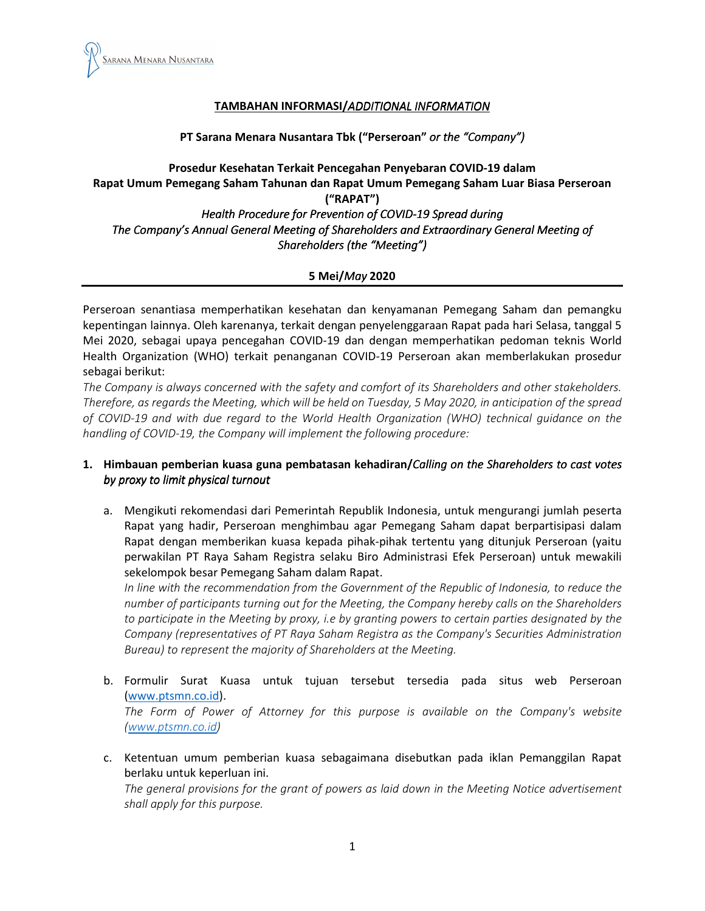

## TAMBAHAN INFORMASI/ADDITIONAL INFORMATION

#### PT Sarana Menara Nusantara Tbk ("Perseroan" or the "Company")

# Prosedur Kesehatan Terkait Pencegahan Penyebaran COVID-19 dalam Rapat Umum Pemegang Saham Tahunan dan Rapat Umum Pemegang Saham Luar Biasa Perseroan ("RAPAT") Health Procedure for Prevention of COVID-19 Spread during The Company's Annual General Meeting of Shareholders and Extraordinary General Meeting of

# Shareholders (the "Meeting") 5 Mei/May 2020

Perseroan senantiasa memperhatikan kesehatan dan kenyamanan Pemegang Saham dan pemangku kepentingan lainnya. Oleh karenanya, terkait dengan penyelenggaraan Rapat pada hari Selasa, tanggal 5 Mei 2020, sebagai upaya pencegahan COVID-19 dan dengan memperhatikan pedoman teknis World Health Organization (WHO) terkait penanganan COVID-19 Perseroan akan memberlakukan prosedur sebagai berikut:

The Company is always concerned with the safety and comfort of its Shareholders and other stakeholders. Therefore, as regards the Meeting, which will be held on Tuesday, 5 May 2020, in anticipation of the spread of COVID-19 and with due regard to the World Health Organization (WHO) technical guidance on the handling of COVID-19, the Company will implement the following procedure:

## 1. Himbauan pemberian kuasa guna pembatasan kehadiran/Calling on the Shareholders to cast votes by proxy to limit physical turnout

a. Mengikuti rekomendasi dari Pemerintah Republik Indonesia, untuk mengurangi jumlah peserta Rapat yang hadir, Perseroan menghimbau agar Pemegang Saham dapat berpartisipasi dalam Rapat dengan memberikan kuasa kepada pihak-pihak tertentu yang ditunjuk Perseroan (yaitu perwakilan PT Raya Saham Registra selaku Biro Administrasi Efek Perseroan) untuk mewakili sekelompok besar Pemegang Saham dalam Rapat.

In line with the recommendation from the Government of the Republic of Indonesia, to reduce the number of participants turning out for the Meeting, the Company hereby calls on the Shareholders to participate in the Meeting by proxy, i.e by granting powers to certain parties designated by the Company (representatives of PT Raya Saham Registra as the Company's Securities Administration Bureau) to represent the majority of Shareholders at the Meeting.

- b. Formulir Surat Kuasa untuk tujuan tersebut tersedia pada situs web Perseroan (www.ptsmn.co.id). The Form of Power of Attorney for this purpose is available on the Company's website (www.ptsmn.co.id)
- c. Ketentuan umum pemberian kuasa sebagaimana disebutkan pada iklan Pemanggilan Rapat berlaku untuk keperluan ini.

The general provisions for the grant of powers as laid down in the Meeting Notice advertisement shall apply for this purpose.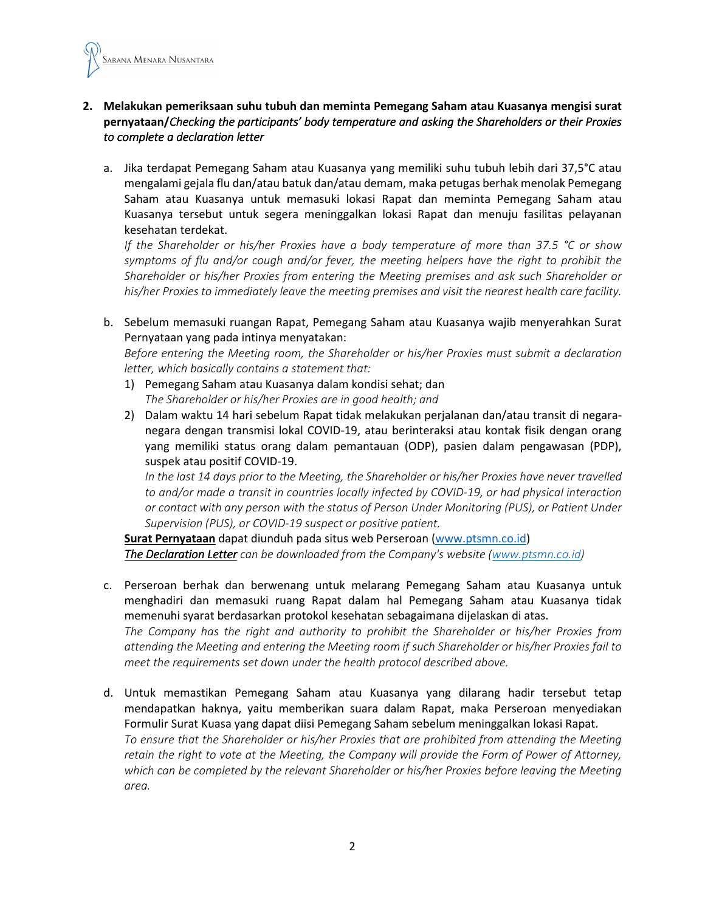

## 2. Melakukan pemeriksaan suhu tubuh dan meminta Pemegang Saham atau Kuasanya mengisi surat pernyataan/Checking the participants' body temperature and asking the Shareholders or their Proxies to complete a declaration letter

a. Jika terdapat Pemegang Saham atau Kuasanya yang memiliki suhu tubuh lebih dari 37,5°C atau mengalami gejala flu dan/atau batuk dan/atau demam, maka petugas berhak menolak Pemegang Saham atau Kuasanya untuk memasuki lokasi Rapat dan meminta Pemegang Saham atau Kuasanya tersebut untuk segera meninggalkan lokasi Rapat dan menuju fasilitas pelayanan kesehatan terdekat.

If the Shareholder or his/her Proxies have a body temperature of more than 37.5 °C or show symptoms of flu and/or cough and/or fever, the meeting helpers have the right to prohibit the Shareholder or his/her Proxies from entering the Meeting premises and ask such Shareholder or his/her Proxies to immediately leave the meeting premises and visit the nearest health care facility.

b. Sebelum memasuki ruangan Rapat, Pemegang Saham atau Kuasanya wajib menyerahkan Surat Pernyataan yang pada intinya menyatakan:

Before entering the Meeting room, the Shareholder or his/her Proxies must submit a declaration letter, which basically contains a statement that:

- 1) Pemegang Saham atau Kuasanya dalam kondisi sehat; dan The Shareholder or his/her Proxies are in good health; and
- 2) Dalam waktu 14 hari sebelum Rapat tidak melakukan perjalanan dan/atau transit di negaranegara dengan transmisi lokal COVID-19, atau berinteraksi atau kontak fisik dengan orang yang memiliki status orang dalam pemantauan (ODP), pasien dalam pengawasan (PDP), suspek atau positif COVID-19.

In the last 14 days prior to the Meeting, the Shareholder or his/her Proxies have never travelled to and/or made a transit in countries locally infected by COVID-19, or had physical interaction or contact with any person with the status of Person Under Monitoring (PUS), or Patient Under Supervision (PUS), or COVID-19 suspect or positive patient.

Surat Pernyataan dapat diunduh pada situs web Perseroan (www.ptsmn.co.id) The Declaration Letter can be downloaded from the Company's website (www.ptsmn.co.id)

c. Perseroan berhak dan berwenang untuk melarang Pemegang Saham atau Kuasanya untuk menghadiri dan memasuki ruang Rapat dalam hal Pemegang Saham atau Kuasanya tidak memenuhi syarat berdasarkan protokol kesehatan sebagaimana dijelaskan di atas. The Company has the right and authority to prohibit the Shareholder or his/her Proxies from

attending the Meeting and entering the Meeting room if such Shareholder or his/her Proxies fail to meet the requirements set down under the health protocol described above.

d. Untuk memastikan Pemegang Saham atau Kuasanya yang dilarang hadir tersebut tetap mendapatkan haknya, yaitu memberikan suara dalam Rapat, maka Perseroan menyediakan Formulir Surat Kuasa yang dapat diisi Pemegang Saham sebelum meninggalkan lokasi Rapat. To ensure that the Shareholder or his/her Proxies that are prohibited from attending the Meeting retain the right to vote at the Meeting, the Company will provide the Form of Power of Attorney, which can be completed by the relevant Shareholder or his/her Proxies before leaving the Meeting area.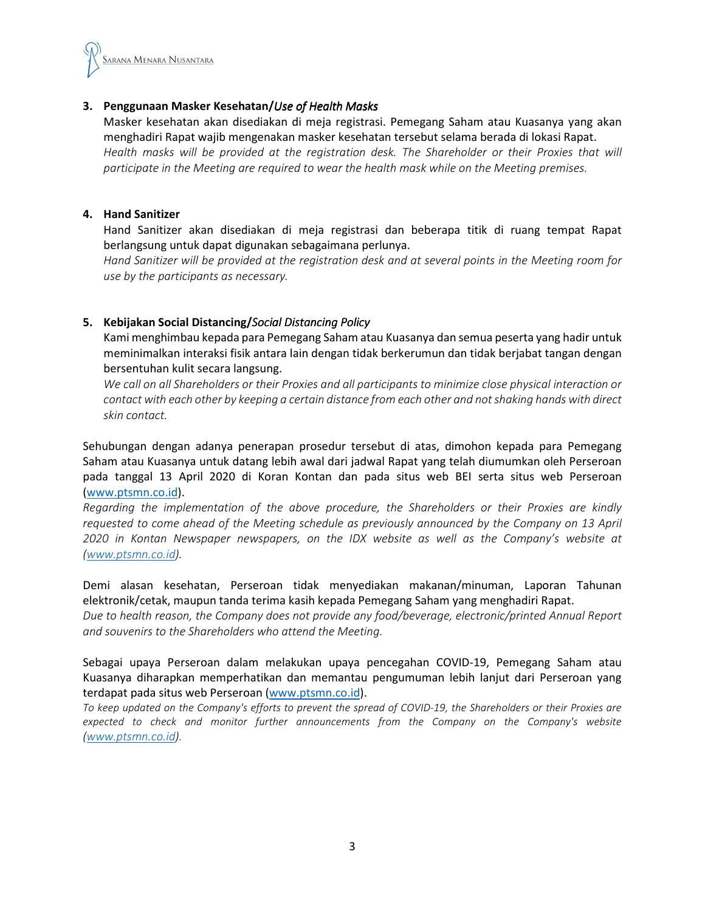

#### 3. Penggunaan Masker Kesehatan/Use of Health Masks

Masker kesehatan akan disediakan di meja registrasi. Pemegang Saham atau Kuasanya yang akan menghadiri Rapat wajib mengenakan masker kesehatan tersebut selama berada di lokasi Rapat. Health masks will be provided at the registration desk. The Shareholder or their Proxies that will participate in the Meeting are required to wear the health mask while on the Meeting premises.

#### 4. Hand Sanitizer

Hand Sanitizer akan disediakan di meja registrasi dan beberapa titik di ruang tempat Rapat berlangsung untuk dapat digunakan sebagaimana perlunya.

Hand Sanitizer will be provided at the registration desk and at several points in the Meeting room for use by the participants as necessary.

## 5. Kebijakan Social Distancing/Social Distancing Policy

Kami menghimbau kepada para Pemegang Saham atau Kuasanya dan semua peserta yang hadir untuk meminimalkan interaksi fisik antara lain dengan tidak berkerumun dan tidak berjabat tangan dengan bersentuhan kulit secara langsung.

We call on all Shareholders or their Proxies and all participants to minimize close physical interaction or contact with each other by keeping a certain distance from each other and not shaking hands with direct skin contact.

Sehubungan dengan adanya penerapan prosedur tersebut di atas, dimohon kepada para Pemegang Saham atau Kuasanya untuk datang lebih awal dari jadwal Rapat yang telah diumumkan oleh Perseroan pada tanggal 13 April 2020 di Koran Kontan dan pada situs web BEI serta situs web Perseroan (www.ptsmn.co.id).

Regarding the implementation of the above procedure, the Shareholders or their Proxies are kindly requested to come ahead of the Meeting schedule as previously announced by the Company on 13 April 2020 in Kontan Newspaper newspapers, on the IDX website as well as the Company's website at (www.ptsmn.co.id).

Demi alasan kesehatan, Perseroan tidak menyediakan makanan/minuman, Laporan Tahunan elektronik/cetak, maupun tanda terima kasih kepada Pemegang Saham yang menghadiri Rapat.

Due to health reason, the Company does not provide any food/beverage, electronic/printed Annual Report and souvenirs to the Shareholders who attend the Meeting.

Sebagai upaya Perseroan dalam melakukan upaya pencegahan COVID-19, Pemegang Saham atau Kuasanya diharapkan memperhatikan dan memantau pengumuman lebih lanjut dari Perseroan yang terdapat pada situs web Perseroan (www.ptsmn.co.id).

To keep updated on the Company's efforts to prevent the spread of COVID-19, the Shareholders or their Proxies are expected to check and monitor further announcements from the Company on the Company's website (www.ptsmn.co.id).